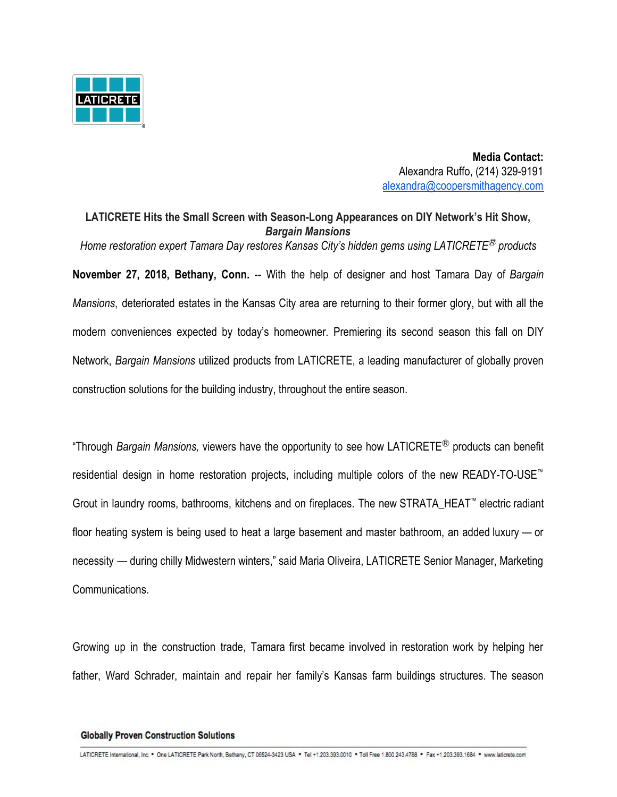

 **Media Contact:** Alexandra Ruffo, (214) 329-9191 [alexandra@coopersmithagency.com](mailto:alexandra@coopersmithagency.com)

**LATICRETE Hits the Small Screen with Season-Long Appearances on DIY Network's Hit Show,** *Bargain Mansions Home restoration expert Tamara Day restores Kansas City's hidden gems using LATICRETE*Ⓡ *products* **November 27, 2018, Bethany, Conn.** -- With the help of designer and host Tamara Day of *Bargain Mansions*, deteriorated estates in the Kansas City area are returning to their former glory, but with all the modern conveniences expected by today's homeowner. Premiering its second season this fall on DIY Network, *Bargain Mansions* utilized products from LATICRETE, a leading manufacturer of globally proven construction solutions for the building industry, throughout the entire season.

"Through *Bargain Mansions,* viewers have the opportunity to see how LATICRETEⓇ products can benefit residential design in home restoration projects, including multiple colors of the new READY-TO-USE™ Grout in laundry rooms, bathrooms, kitchens and on fireplaces. The new STRATA\_HEAT™ electric radiant floor heating system is being used to heat a large basement and master bathroom, an added luxury — or necessity — during chilly Midwestern winters," said Maria Oliveira, LATICRETE Senior Manager, Marketing Communications.

Growing up in the construction trade, Tamara first became involved in restoration work by helping her father, Ward Schrader, maintain and repair her family's Kansas farm buildings structures. The season

## **Globally Proven Construction Solutions**